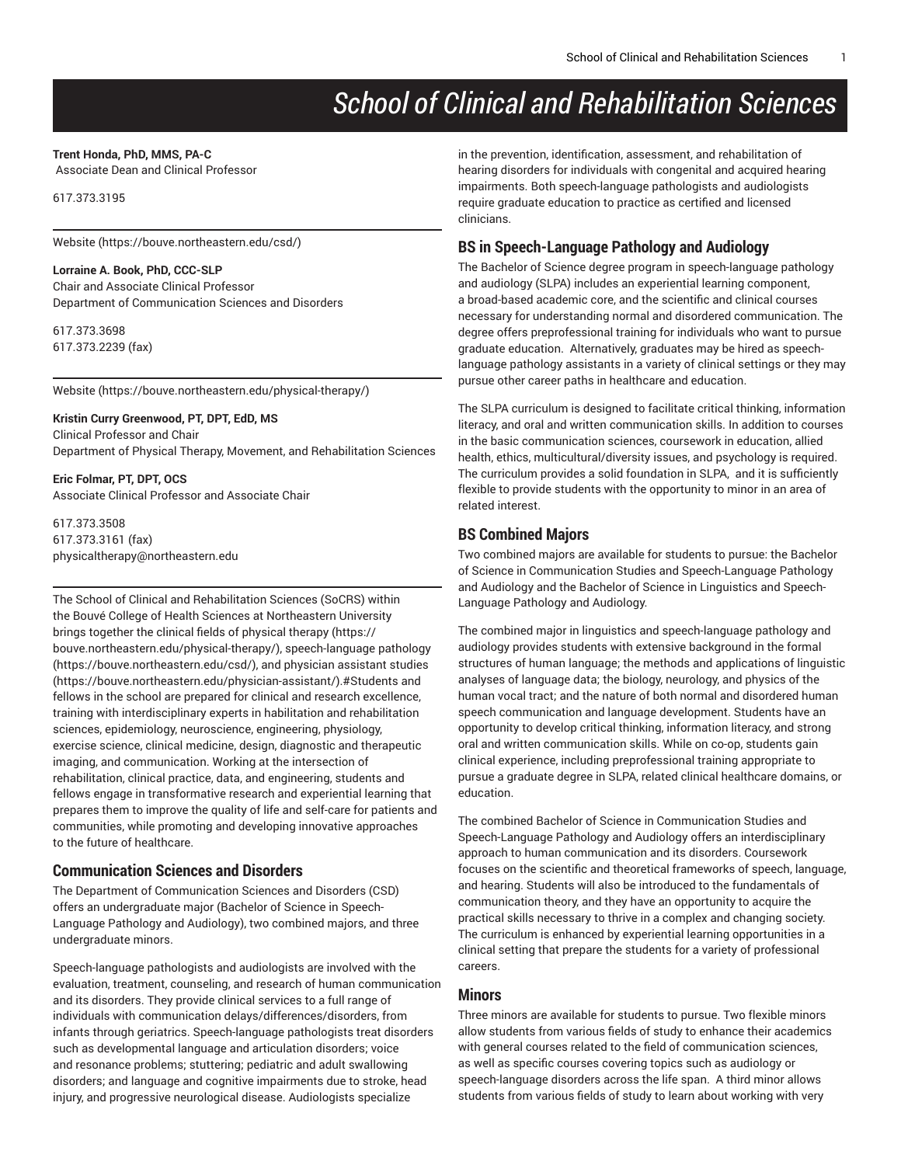# *School of Clinical and Rehabilitation Sciences*

#### **Trent Honda, PhD, MMS, PA-C**

Associate Dean and Clinical Professor

617.373.3195

[Website](https://bouve.northeastern.edu/csd/) (<https://bouve.northeastern.edu/csd/>)

#### **Lorraine A. Book, PhD, CCC-SLP**

Chair and Associate Clinical Professor Department of Communication Sciences and Disorders

617.373.3698 617.373.2239 (fax)

[Website](https://bouve.northeastern.edu/physical-therapy/) ([https://bouve.northeastern.edu/physical-therapy/\)](https://bouve.northeastern.edu/physical-therapy/)

## **Kristin Curry Greenwood, PT, DPT, EdD, MS**

Clinical Professor and Chair Department of Physical Therapy, Movement, and Rehabilitation Sciences

**Eric Folmar, PT, DPT, OCS** Associate Clinical Professor and Associate Chair

617.373.3508 617.373.3161 (fax) [physicaltherapy@northeastern.edu](mailto:physicaltherapy@northeastern.edu)

The School of Clinical and Rehabilitation Sciences (SoCRS) within the Bouvé College of Health Sciences at Northeastern University brings together the clinical fields of [physical](https://bouve.northeastern.edu/physical-therapy/) therapy [\(https://](https://bouve.northeastern.edu/physical-therapy/) [bouve.northeastern.edu/physical-therapy/\)](https://bouve.northeastern.edu/physical-therapy/), [speech-language pathology](https://bouve.northeastern.edu/csd/) (<https://bouve.northeastern.edu/csd/>), and [physician assistant studies](https://bouve.northeastern.edu/physician-assistant/) (<https://bouve.northeastern.edu/physician-assistant/>).#Students and fellows in the school are prepared for clinical and research excellence, training with interdisciplinary experts in habilitation and rehabilitation sciences, epidemiology, neuroscience, engineering, physiology, exercise science, clinical medicine, design, diagnostic and therapeutic imaging, and communication. Working at the intersection of rehabilitation, clinical practice, data, and engineering, students and fellows engage in transformative research and experiential learning that prepares them to improve the quality of life and self-care for patients and communities, while promoting and developing innovative approaches to the future of healthcare.

## **Communication Sciences and Disorders**

The Department of Communication Sciences and Disorders (CSD) offers an undergraduate major (Bachelor of Science in Speech-Language Pathology and Audiology), two combined majors, and three undergraduate minors.

Speech-language pathologists and audiologists are involved with the evaluation, treatment, counseling, and research of human communication and its disorders. They provide clinical services to a full range of individuals with communication delays/differences/disorders, from infants through geriatrics. Speech-language pathologists treat disorders such as developmental language and articulation disorders; voice and resonance problems; stuttering; pediatric and adult swallowing disorders; and language and cognitive impairments due to stroke, head injury, and progressive neurological disease. Audiologists specialize

in the prevention, identification, assessment, and rehabilitation of hearing disorders for individuals with congenital and acquired hearing impairments. Both speech-language pathologists and audiologists require graduate education to practice as certified and licensed clinicians.

# **BS in Speech-Language Pathology and Audiology**

The Bachelor of Science degree program in speech-language pathology and audiology (SLPA) includes an experiential learning component, a broad-based academic core, and the scientific and clinical courses necessary for understanding normal and disordered communication. The degree offers preprofessional training for individuals who want to pursue graduate education. Alternatively, graduates may be hired as speechlanguage pathology assistants in a variety of clinical settings or they may pursue other career paths in healthcare and education.

The SLPA curriculum is designed to facilitate critical thinking, information literacy, and oral and written communication skills. In addition to courses in the basic communication sciences, coursework in education, allied health, ethics, multicultural/diversity issues, and psychology is required. The curriculum provides a solid foundation in SLPA, and it is sufficiently flexible to provide students with the opportunity to minor in an area of related interest.

# **BS Combined Majors**

Two combined majors are available for students to pursue: the Bachelor of Science in Communication Studies and Speech-Language Pathology and Audiology and the Bachelor of Science in Linguistics and Speech-Language Pathology and Audiology.

The combined major in linguistics and speech-language pathology and audiology provides students with extensive background in the formal structures of human language; the methods and applications of linguistic analyses of language data; the biology, neurology, and physics of the human vocal tract; and the nature of both normal and disordered human speech communication and language development. Students have an opportunity to develop critical thinking, information literacy, and strong oral and written communication skills. While on co-op, students gain clinical experience, including preprofessional training appropriate to pursue a graduate degree in SLPA, related clinical healthcare domains, or education.

The combined Bachelor of Science in Communication Studies and Speech-Language Pathology and Audiology offers an interdisciplinary approach to human communication and its disorders. Coursework focuses on the scientific and theoretical frameworks of speech, language, and hearing. Students will also be introduced to the fundamentals of communication theory, and they have an opportunity to acquire the practical skills necessary to thrive in a complex and changing society. The curriculum is enhanced by experiential learning opportunities in a clinical setting that prepare the students for a variety of professional careers.

# **Minors**

Three minors are available for students to pursue. Two flexible minors allow students from various fields of study to enhance their academics with general courses related to the field of communication sciences, as well as specific courses covering topics such as audiology or speech-language disorders across the life span. A third minor allows students from various fields of study to learn about working with very